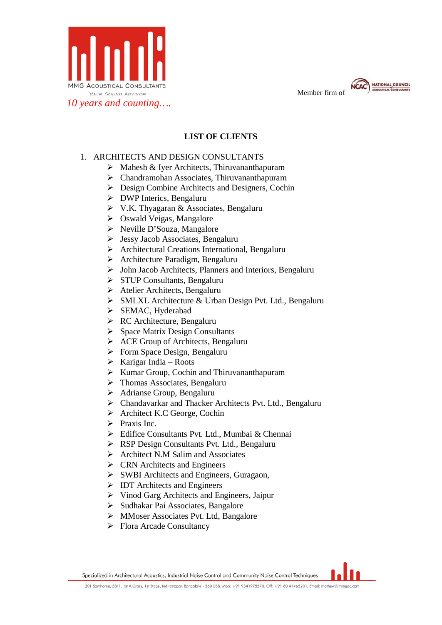

Member firm of



## **LIST OF CLIENTS**

## 1. ARCHITECTS AND DESIGN CONSULTANTS

- $\triangleright$  Mahesh & Iyer Architects, Thiruvananthapuram
- Chandramohan Associates, Thiruvananthapuram
- Design Combine Architects and Designers, Cochin
- > DWP Interics, Bengaluru
- V.K. Thyagaran & Associates, Bengaluru
- Oswald Veigas, Mangalore
- Neville D'Souza, Mangalore
- Jessy Jacob Associates, Bengaluru
- Architectural Creations International, Bengaluru
- Architecture Paradigm, Bengaluru
- John Jacob Architects, Planners and Interiors, Bengaluru
- STUP Consultants, Bengaluru
- Atelier Architects, Bengaluru
- SMLXL Architecture & Urban Design Pvt. Ltd., Bengaluru
- $\triangleright$  SEMAC, Hyderabad
- RC Architecture, Bengaluru
- $\triangleright$  Space Matrix Design Consultants
- $\triangleright$  ACE Group of Architects, Bengaluru
- Form Space Design, Bengaluru
- $\triangleright$  Karigar India Roots
- $\triangleright$  Kumar Group, Cochin and Thiruvananthapuram
- > Thomas Associates, Bengaluru
- Adrianse Group, Bengaluru
- Chandavarkar and Thacker Architects Pvt. Ltd., Bengaluru
- Architect K.C George, Cochin
- $\triangleright$  Praxis Inc.
- Edifice Consultants Pvt. Ltd., Mumbai & Chennai
- RSP Design Consultants Pvt. Ltd., Bengaluru
- $\triangleright$  Architect N.M Salim and Associates
- $\triangleright$  CRN Architects and Engineers
- SWBI Architects and Engineers, Guragaon,
- $\triangleright$  IDT Architects and Engineers
- $\triangleright$  Vinod Garg Architects and Engineers, Jaipur
- > Sudhakar Pai Associates, Bangalore
- MMoser Associates Pvt. Ltd, Bangalore
- Flora Arcade Consultancy

Specialized in Architectural Acoustics, Industrial Noise Control and Community Noise Control Techniques

301 Santhome, 33/1, 1st A Cross, 1st Stage, Indiranagar, Bangalore - 560 038. Mob: +91 9341975570. Off: +91 80 41465201. Email: mathew@mmgac.com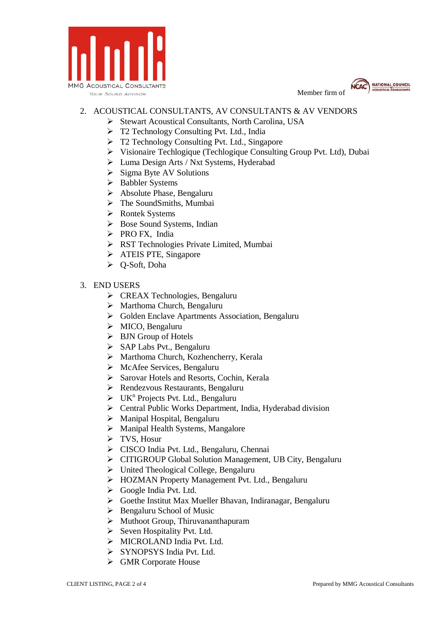





## 2. ACOUSTICAL CONSULTANTS, AV CONSULTANTS & AV VENDORS

- ▶ Stewart Acoustical Consultants, North Carolina, USA
- T2 Technology Consulting Pvt. Ltd., India
- T2 Technology Consulting Pvt. Ltd., Singapore
- Visionaire Techlogique (Techlogique Consulting Group Pvt. Ltd), Dubai
- Luma Design Arts / Nxt Systems, Hyderabad
- $\triangleright$  Sigma Byte AV Solutions
- > Babbler Systems
- Absolute Phase, Bengaluru
- > The SoundSmiths, Mumbai
- Rontek Systems
- $\triangleright$  Bose Sound Systems, Indian
- PRO FX, India
- RST Technologies Private Limited, Mumbai
- > ATEIS PTE, Singapore
- Q-Soft, Doha
- 3. END USERS
	- CREAX Technologies, Bengaluru
	- Marthoma Church, Bengaluru
	- Golden Enclave Apartments Association, Bengaluru
	- MICO, Bengaluru
	- BJN Group of Hotels
	- $\triangleright$  SAP Labs Pvt., Bengaluru
	- Marthoma Church, Kozhencherry, Kerala
	- McAfee Services, Bengaluru
	- ▶ Sarovar Hotels and Resorts, Cochin, Kerala
	- Rendezvous Restaurants, Bengaluru
	- $\triangleright$  UK<sup>n</sup> Projects Pvt. Ltd., Bengaluru
	- Central Public Works Department, India, Hyderabad division
	- $\triangleright$  Manipal Hospital, Bengaluru
	- > Manipal Health Systems, Mangalore
	- $\triangleright$  TVS, Hosur
	- CISCO India Pvt. Ltd., Bengaluru, Chennai
	- CITIGROUP Global Solution Management, UB City, Bengaluru
	- United Theological College, Bengaluru
	- HOZMAN Property Management Pvt. Ltd., Bengaluru
	- Google India Pvt. Ltd.
	- Goethe Institut Max Mueller Bhavan, Indiranagar, Bengaluru
	- $\triangleright$  Bengaluru School of Music
	- $\triangleright$  Muthoot Group, Thiruvananthapuram
	- $\triangleright$  Seven Hospitality Pvt. Ltd.
	- > MICROLAND India Pvt. Ltd.
	- > SYNOPSYS India Pvt. Ltd.
	- GMR Corporate House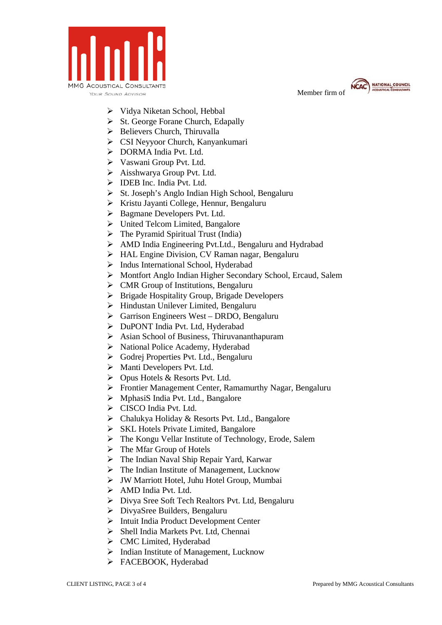

Member firm of



- Vidya Niketan School, Hebbal
- $\triangleright$  St. George Forane Church, Edapally
- $\triangleright$  Believers Church, Thiruvalla
- CSI Neyyoor Church, Kanyankumari
- $\triangleright$  DORMA India Pvt. Ltd.
- Vaswani Group Pvt. Ltd.
- Aisshwarya Group Pvt. Ltd.
- > IDEB Inc. India Pvt. Ltd.
- $\triangleright$  St. Joseph's Anglo Indian High School, Bengaluru
- $\triangleright$  Kristu Jayanti College, Hennur, Bengaluru
- ▶ Bagmane Developers Pvt. Ltd.
- $\triangleright$  United Telcom Limited, Bangalore
- $\triangleright$  The Pyramid Spiritual Trust (India)
- AMD India Engineering Pvt.Ltd., Bengaluru and Hydrabad
- HAL Engine Division, CV Raman nagar, Bengaluru
- > Indus International School, Hyderabad
- Montfort Anglo Indian Higher Secondary School, Ercaud, Salem
- $\triangleright$  CMR Group of Institutions, Bengaluru
- $\triangleright$  Brigade Hospitality Group, Brigade Developers
- Hindustan Unilever Limited, Bengaluru
- $\triangleright$  Garrison Engineers West DRDO, Bengaluru
- > DuPONT India Pvt. Ltd, Hyderabad
- $\triangleright$  Asian School of Business, Thiruvananthapuram
- $\triangleright$  National Police Academy, Hyderabad
- Godrej Properties Pvt. Ltd., Bengaluru
- Manti Developers Pvt. Ltd.
- Opus Hotels & Resorts Pvt. Ltd.
- Frontier Management Center, Ramamurthy Nagar, Bengaluru
- $\triangleright$  MphasiS India Pvt. Ltd., Bangalore
- CISCO India Pvt. Ltd.
- Chalukya Holiday & Resorts Pvt. Ltd., Bangalore
- $\triangleright$  SKL Hotels Private Limited, Bangalore
- The Kongu Vellar Institute of Technology, Erode, Salem
- $\triangleright$  The Mfar Group of Hotels
- The Indian Naval Ship Repair Yard, Karwar
- $\triangleright$  The Indian Institute of Management, Lucknow
- JW Marriott Hotel, Juhu Hotel Group, Mumbai
- > AMD India Pvt. Ltd.
- Divya Sree Soft Tech Realtors Pvt. Ltd, Bengaluru
- DivyaSree Builders, Bengaluru
- Intuit India Product Development Center
- Shell India Markets Pvt. Ltd, Chennai
- CMC Limited, Hyderabad
- $\triangleright$  Indian Institute of Management, Lucknow
- > FACEBOOK, Hyderabad